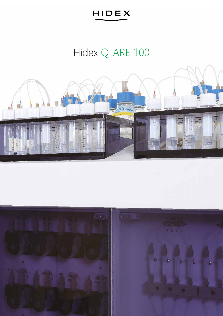# Hidex Q-ARE 100



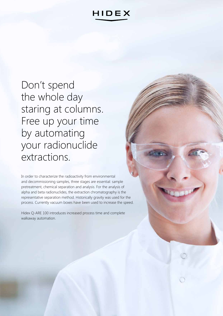Don't spend the whole day staring at columns. Free up your time by automating your radionuclide extractions.

In order to characterize the radioactivity from environmental and decommissioning samples, three stages are essential: sample pretreatment, chemical separation and analysis. For the analysis of alpha and beta radionuclides, the extraction chromatography is the representative separation method. Historically gravity was used for the process. Currently vacuum boxes have been used to increase the speed.

Hidex Q-ARE 100 introduces increased process time and complete walkaway automation.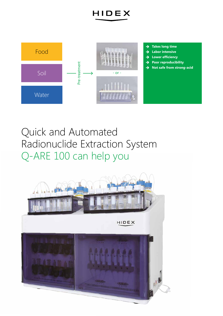

## Quick and Automated Radionuclide Extraction System Q-ARE 100 can help you

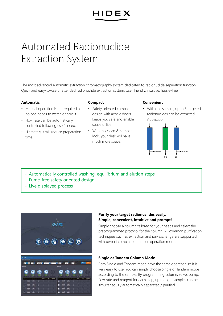## Automated Radionuclide Extraction System

The most advanced automatic extraction chromatography system dedicated to radionuclide separation function. Quick and easy-to-use unattended radionuclide extraction system. User friendly, intuitive, hassle-free

#### **Automatic**

#### **Compact**

- Manual operation is not required so no one needs to watch or care it.
- Flow rate can be automatically controlled following user's need.
- Ultimately, it will reduce preparation time.
- Safety oriented compact design with acrylic doors keeps you safe and enable space utilize.
- With this clean & compact look, your desk will have much more space.

#### **Convenient**

• With one sample, up to 5 targeted radionuclides can be extracted. Application



- + Automatically controlled washing, equilibrium and elution steps
- + Fume-free safety oriented design
- + Live displayed process



#### **Purify your target radionuclides easily. Simple, convenient, intuitive and prompt!**

Simply choose a column tailored for your needs and select the preprogrammed protocol for the column. All common purification techniques such as extraction and ion-exchange are supported with perfect combination of four operation mode.

#### **Single or Tandem Column Mode**

Both Single and Tandem mode have the same operation so it is very easy to use. You can simply choose Single or Tandem mode according to the sample. By programming column, valve, pump, flow rate and reagent for each step, up to eight samples can be simultaneously automatically separated / purified.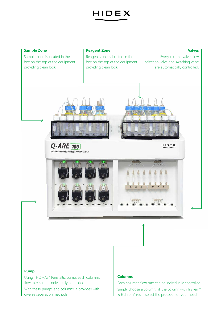

#### **Sample Zone**

Sample zone is located in the box on the top of the equipment providing clean look.

#### **Reagent Zone**

Reagent zone is located in the box on the top of the equipment providing clean look.

#### **Valves**

Every column valve, flow selection valve and switching valve are automatically controlled.



d Radionuclide Extraction System

 $Q$ -ARE  $\overline{100}$ 

HIDEX



#### **Pump**

Using THOMAS\* Peristaltic pump, each column's flow rate can be individually controlled.

With these pumps and columns, it provides with diverse separation methods.

#### **Columns**

Each column's flow rate can be individually controlled. Simply choose a column, fill the column with Triskem\* & Eichrom\* resin, select the protocol for your need.